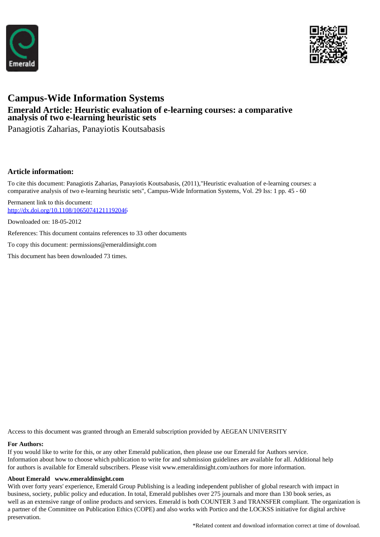



# **Campus-Wide Information Systems Emerald Article: Heuristic evaluation of e-learning courses: a comparative analysis of two e-learning heuristic sets**

Panagiotis Zaharias, Panayiotis Koutsabasis

# **Article information:**

To cite this document: Panagiotis Zaharias, Panayiotis Koutsabasis, (2011),"Heuristic evaluation of e-learning courses: a comparative analysis of two e-learning heuristic sets", Campus-Wide Information Systems, Vol. 29 Iss: 1 pp. 45 - 60

Permanent link to this document: http://dx.doi.org/10.1108/10650741211192046

Downloaded on: 18-05-2012

References: This document contains references to 33 other documents

To copy this document: permissions@emeraldinsight.com

This document has been downloaded 73 times.

Access to this document was granted through an Emerald subscription provided by AEGEAN UNIVERSITY

# **For Authors:**

If you would like to write for this, or any other Emerald publication, then please use our Emerald for Authors service. Information about how to choose which publication to write for and submission guidelines are available for all. Additional help for authors is available for Emerald subscribers. Please visit www.emeraldinsight.com/authors for more information.

# **About Emerald www.emeraldinsight.com**

With over forty years' experience, Emerald Group Publishing is a leading independent publisher of global research with impact in business, society, public policy and education. In total, Emerald publishes over 275 journals and more than 130 book series, as well as an extensive range of online products and services. Emerald is both COUNTER 3 and TRANSFER compliant. The organization is a partner of the Committee on Publication Ethics (COPE) and also works with Portico and the LOCKSS initiative for digital archive preservation.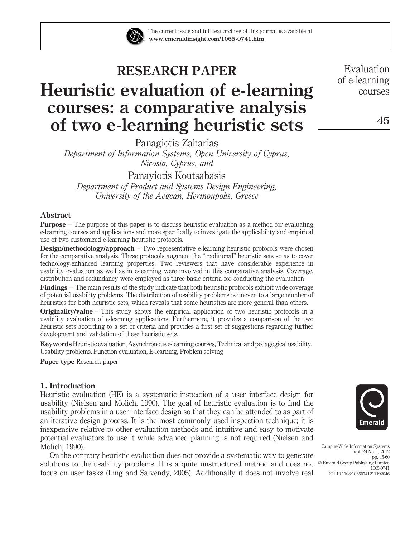

The current issue and full text archive of this journal is available at www.emeraldinsight.com/1065-0741.htm

# RESEARCH PAPER Heuristic evaluation of e-learning courses: a comparative analysis of two e-learning heuristic sets

Panagiotis Zaharias Department of Information Systems, Open University of Cyprus, Nicosia, Cyprus, and

Panayiotis Koutsabasis Department of Product and Systems Design Engineering, University of the Aegean, Hermoupolis, Greece

#### Abstract

Purpose – The purpose of this paper is to discuss heuristic evaluation as a method for evaluating e-learning courses and applications and more specifically to investigate the applicability and empirical use of two customized e-learning heuristic protocols.

Design/methodology/approach – Two representative e-learning heuristic protocols were chosen for the comparative analysis. These protocols augment the "traditional" heuristic sets so as to cover technology-enhanced learning properties. Two reviewers that have considerable experience in usability evaluation as well as in e-learning were involved in this comparative analysis. Coverage, distribution and redundancy were employed as three basic criteria for conducting the evaluation

Findings – The main results of the study indicate that both heuristic protocols exhibit wide coverage of potential usability problems. The distribution of usability problems is uneven to a large number of heuristics for both heuristic sets, which reveals that some heuristics are more general than others.

Originality/value – This study shows the empirical application of two heuristic protocols in a usability evaluation of e-learning applications. Furthermore, it provides a comparison of the two heuristic sets according to a set of criteria and provides a first set of suggestions regarding further development and validation of these heuristic sets.

Keywords Heuristic evaluation, Asynchronous e-learning courses, Technical and pedagogical usability, Usability problems, Function evaluation, E-learning, Problem solving

Paper type Research paper

### 1. Introduction

Heuristic evaluation (HE) is a systematic inspection of a user interface design for usability (Nielsen and Molich, 1990). The goal of heuristic evaluation is to find the usability problems in a user interface design so that they can be attended to as part of an iterative design process. It is the most commonly used inspection technique; it is inexpensive relative to other evaluation methods and intuitive and easy to motivate potential evaluators to use it while advanced planning is not required (Nielsen and Molich, 1990).

On the contrary heuristic evaluation does not provide a systematic way to generate solutions to the usability problems. It is a quite unstructured method and does not focus on user tasks (Ling and Salvendy, 2005). Additionally it does not involve real

Evaluation of e-learning courses

45



Campus-Wide Information Systems Vol. 29 No. 1, 2012 pp. 45-60  $©$  Emerald Group Publishing Limited 1065-0741 DOI 10.1108/10650741211192046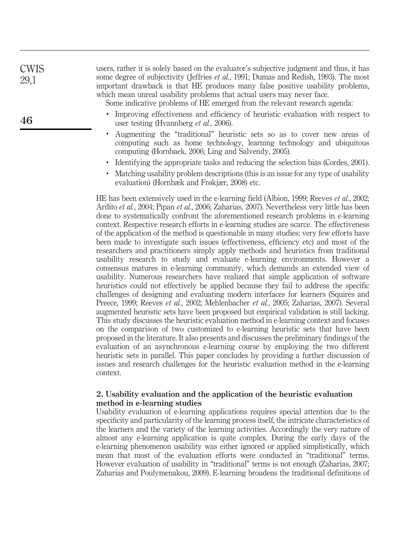CWIS 29,1

users, rather it is solely based on the evaluator's subjective judgment and thus, it has some degree of subjectivity (Jeffries et al., 1991; Dumas and Redish, 1993). The most important drawback is that HE produces many false positive usability problems, which mean unreal usability problems that actual users may never face.

Some indicative problems of HE emerged from the relevant research agenda:

- . Improving effectiveness and efficiency of heuristic evaluation with respect to user testing (Hvannberg et al., 2006).
- . Augmenting the "traditional" heuristic sets so as to cover new areas of computing such as home technology, learning technology and ubiquitous computing (Hornbaek, 2006; Ling and Salvendy, 2005).
- . Identifying the appropriate tasks and reducing the selection bias (Cordes, 2001).
- . Matching usability problem descriptions (this is an issue for any type of usability evaluation) (Hornbæk and Frøkjær, 2008) etc.

HE has been extensively used in the e-learning field (Albion, 1999; Reeves et al., 2002; Ardito et al., 2004; Pipan et al., 2006; Zaharias, 2007). Nevertheless very little has been done to systematically confront the aforementioned research problems in e-learning context. Respective research efforts in e-learning studies are scarce. The effectiveness of the application of the method is questionable in many studies; very few efforts have been made to investigate such issues (effectiveness, efficiency etc) and most of the researchers and practitioners simply apply methods and heuristics from traditional usability research to study and evaluate e-learning environments. However a consensus matures in e-learning community, which demands an extended view of usability. Numerous researchers have realized that simple application of software heuristics could not effectively be applied because they fail to address the specific challenges of designing and evaluating modern interfaces for learners (Squires and Preece, 1999; Reeves et al., 2002; Mehlenbacher et al., 2005; Zaharias, 2007). Several augmented heuristic sets have been proposed but empirical validation is still lacking. This study discusses the heuristic evaluation method in e-learning context and focuses on the comparison of two customized to e-learning heuristic sets that have been proposed in the literature. It also presents and discusses the preliminary findings of the evaluation of an asynchronous e-learning course by employing the two different heuristic sets in parallel. This paper concludes by providing a further discussion of issues and research challenges for the heuristic evaluation method in the e-learning context.

# 2. Usability evaluation and the application of the heuristic evaluation method in e-learning studies

Usability evaluation of e-learning applications requires special attention due to the specificity and particularity of the learning process itself, the intricate characteristics of the learners and the variety of the learning activities. Accordingly the very nature of almost any e-learning application is quite complex. During the early days of the e-learning phenomenon usability was either ignored or applied simplistically, which mean that most of the evaluation efforts were conducted in "traditional" terms. However evaluation of usability in "traditional" terms is not enough (Zaharias, 2007; Zaharias and Poulymenakou, 2009). E-learning broadens the traditional definitions of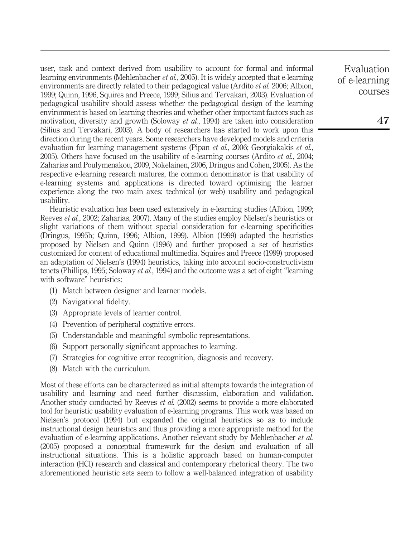user, task and context derived from usability to account for formal and informal learning environments (Mehlenbacher et al., 2005). It is widely accepted that e-learning environments are directly related to their pedagogical value (Ardito *et al.* 2006; Albion, 1999; Quinn, 1996, Squires and Preece, 1999; Silius and Tervakari, 2003). Evaluation of pedagogical usability should assess whether the pedagogical design of the learning environment is based on learning theories and whether other important factors such as motivation, diversity and growth (Soloway et al., 1994) are taken into consideration (Silius and Tervakari, 2003). A body of researchers has started to work upon this direction during the recent years. Some researchers have developed models and criteria evaluation for learning management systems (Pipan *et al.*, 2006; Georgiakakis *et al.*, 2005). Others have focused on the usability of e-learning courses (Ardito et al., 2004; Zaharias and Poulymenakou, 2009, Nokelainen, 2006, Dringus and Cohen, 2005). As the respective e-learning research matures, the common denominator is that usability of e-learning systems and applications is directed toward optimising the learner experience along the two main axes: technical (or web) usability and pedagogical usability.

Heuristic evaluation has been used extensively in e-learning studies (Albion, 1999; Reeves et al., 2002; Zaharias, 2007). Many of the studies employ Nielsen's heuristics or slight variations of them without special consideration for e-learning specificities (Dringus, 1995b; Quinn, 1996; Albion, 1999). Albion (1999) adapted the heuristics proposed by Nielsen and Quinn (1996) and further proposed a set of heuristics customized for content of educational multimedia. Squires and Preece (1999) proposed an adaptation of Nielsen's (1994) heuristics, taking into account socio-constructivism tenets (Phillips, 1995; Soloway et al., 1994) and the outcome was a set of eight "learning with software" heuristics:

- (1) Match between designer and learner models.
- (2) Navigational fidelity.
- (3) Appropriate levels of learner control.
- (4) Prevention of peripheral cognitive errors.
- (5) Understandable and meaningful symbolic representations.
- (6) Support personally significant approaches to learning.
- (7) Strategies for cognitive error recognition, diagnosis and recovery.
- (8) Match with the curriculum.

Most of these efforts can be characterized as initial attempts towards the integration of usability and learning and need further discussion, elaboration and validation. Another study conducted by Reeves *et al.* (2002) seems to provide a more elaborated tool for heuristic usability evaluation of e-learning programs. This work was based on Nielsen's protocol (1994) but expanded the original heuristics so as to include instructional design heuristics and thus providing a more appropriate method for the evaluation of e-learning applications. Another relevant study by Mehlenbacher et al. (2005) proposed a conceptual framework for the design and evaluation of all instructional situations. This is a holistic approach based on human-computer interaction (HCI) research and classical and contemporary rhetorical theory. The two aforementioned heuristic sets seem to follow a well-balanced integration of usability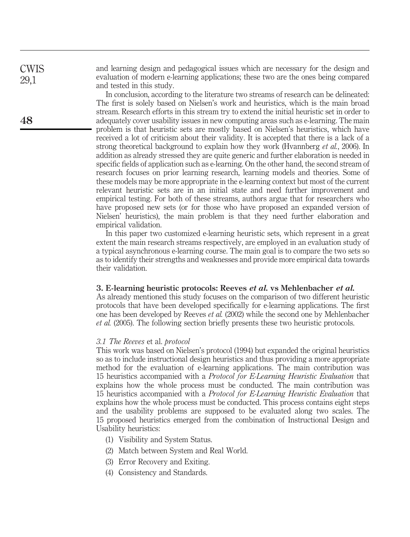CWIS 29,1

48

and learning design and pedagogical issues which are necessary for the design and evaluation of modern e-learning applications; these two are the ones being compared and tested in this study.

In conclusion, according to the literature two streams of research can be delineated: The first is solely based on Nielsen's work and heuristics, which is the main broad stream. Research efforts in this stream try to extend the initial heuristic set in order to adequately cover usability issues in new computing areas such as e-learning. The main problem is that heuristic sets are mostly based on Nielsen's heuristics, which have received a lot of criticism about their validity. It is accepted that there is a lack of a strong theoretical background to explain how they work (Hvannberg et al., 2006). In addition as already stressed they are quite generic and further elaboration is needed in specific fields of application such as e-learning. On the other hand, the second stream of research focuses on prior learning research, learning models and theories. Some of these models may be more appropriate in the e-learning context but most of the current relevant heuristic sets are in an initial state and need further improvement and empirical testing. For both of these streams, authors argue that for researchers who have proposed new sets (or for those who have proposed an expanded version of Nielsen' heuristics), the main problem is that they need further elaboration and empirical validation.

In this paper two customized e-learning heuristic sets, which represent in a great extent the main research streams respectively, are employed in an evaluation study of a typical asynchronous e-learning course. The main goal is to compare the two sets so as to identify their strengths and weaknesses and provide more empirical data towards their validation.

#### 3. E-learning heuristic protocols: Reeves et al. vs Mehlenbacher et al.

As already mentioned this study focuses on the comparison of two different heuristic protocols that have been developed specifically for e-learning applications. The first one has been developed by Reeves et al. (2002) while the second one by Mehlenbacher et al. (2005). The following section briefly presents these two heuristic protocols.

#### 3.1 The Reeves et al. protocol

This work was based on Nielsen's protocol (1994) but expanded the original heuristics so as to include instructional design heuristics and thus providing a more appropriate method for the evaluation of e-learning applications. The main contribution was 15 heuristics accompanied with a Protocol for E-Learning Heuristic Evaluation that explains how the whole process must be conducted. The main contribution was 15 heuristics accompanied with a Protocol for E-Learning Heuristic Evaluation that explains how the whole process must be conducted. This process contains eight steps and the usability problems are supposed to be evaluated along two scales. The 15 proposed heuristics emerged from the combination of Instructional Design and Usability heuristics:

- (1) Visibility and System Status.
- (2) Match between System and Real World.
- (3) Error Recovery and Exiting.
- (4) Consistency and Standards.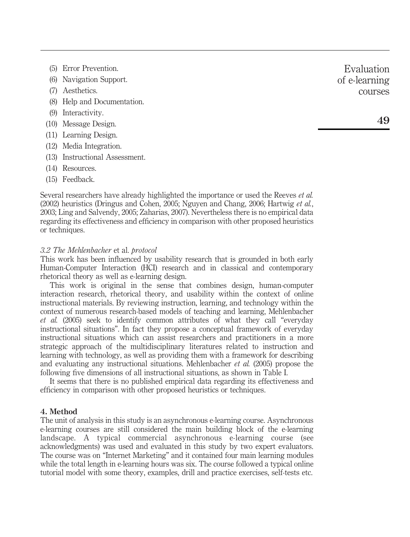- (5) Error Prevention.
- (6) Navigation Support.
- (7) Aesthetics.
- (8) Help and Documentation.
- (9) Interactivity.
- (10) Message Design.
- (11) Learning Design.
- (12) Media Integration.
- (13) Instructional Assessment.
- (14) Resources.
- (15) Feedback.

Several researchers have already highlighted the importance or used the Reeves et al. (2002) heuristics (Dringus and Cohen, 2005; Nguyen and Chang, 2006; Hartwig et al., 2003; Ling and Salvendy, 2005; Zaharias, 2007). Nevertheless there is no empirical data regarding its effectiveness and efficiency in comparison with other proposed heuristics or techniques.

#### 3.2 The Mehlenbacher et al. protocol

This work has been influenced by usability research that is grounded in both early Human-Computer Interaction (HCI) research and in classical and contemporary rhetorical theory as well as e-learning design.

This work is original in the sense that combines design, human-computer interaction research, rhetorical theory, and usability within the context of online instructional materials. By reviewing instruction, learning, and technology within the context of numerous research-based models of teaching and learning, Mehlenbacher et al. (2005) seek to identify common attributes of what they call "everyday instructional situations". In fact they propose a conceptual framework of everyday instructional situations which can assist researchers and practitioners in a more strategic approach of the multidisciplinary literatures related to instruction and learning with technology, as well as providing them with a framework for describing and evaluating any instructional situations. Mehlenbacher et al. (2005) propose the following five dimensions of all instructional situations, as shown in Table I.

It seems that there is no published empirical data regarding its effectiveness and efficiency in comparison with other proposed heuristics or techniques.

## 4. Method

The unit of analysis in this study is an asynchronous e-learning course. Asynchronous e-learning courses are still considered the main building block of the e-learning landscape. A typical commercial asynchronous e-learning course (see acknowledgments) was used and evaluated in this study by two expert evaluators. The course was on "Internet Marketing" and it contained four main learning modules while the total length in e-learning hours was six. The course followed a typical online tutorial model with some theory, examples, drill and practice exercises, self-tests etc.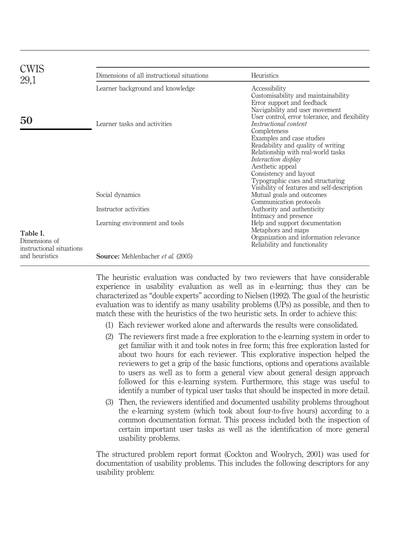| CWIS                                                  | Dimensions of all instructional situations                                           | Heuristics                                                                                                                                                                                                                                                                                                                                               |
|-------------------------------------------------------|--------------------------------------------------------------------------------------|----------------------------------------------------------------------------------------------------------------------------------------------------------------------------------------------------------------------------------------------------------------------------------------------------------------------------------------------------------|
| 29,1                                                  | Learner background and knowledge                                                     | Accessibility<br>Customisability and maintainability<br>Error support and feedback<br>Navigability and user movement                                                                                                                                                                                                                                     |
| 50                                                    | Learner tasks and activities                                                         | User control, error tolerance, and flexibility<br>Instructional content<br>Completeness<br>Examples and case studies<br>Readability and quality of writing<br>Relationship with real-world tasks<br>Interaction display<br>Aesthetic appeal<br>Consistency and layout<br>Typographic cues and structuring<br>Visibility of features and self-description |
|                                                       | Social dynamics                                                                      | Mutual goals and outcomes<br>Communication protocols                                                                                                                                                                                                                                                                                                     |
|                                                       | Instructor activities                                                                | Authority and authenticity<br>Intimacy and presence                                                                                                                                                                                                                                                                                                      |
| Table I.<br>Dimensions of<br>instructional situations | Learning environment and tools                                                       | Help and support documentation<br>Metaphors and maps<br>Organization and information relevance<br>Reliability and functionality                                                                                                                                                                                                                          |
| and heuristics                                        | Source: Mehlenbacher et al. (2005)                                                   |                                                                                                                                                                                                                                                                                                                                                          |
|                                                       | match these with the heuristics of the two heuristic sets. In order to achieve this: | The heuristic evaluation was conducted by two reviewers that have considerable<br>experience in usability evaluation as well as in e-learning; thus they can be<br>characterized as "double experts" according to Nielsen (1992). The goal of the heuristic<br>evaluation was to identify as many usability problems (UPs) as possible, and then to      |

- (1) Each reviewer worked alone and afterwards the results were consolidated.
- (2) The reviewers first made a free exploration to the e-learning system in order to get familiar with it and took notes in free form; this free exploration lasted for about two hours for each reviewer. This explorative inspection helped the reviewers to get a grip of the basic functions, options and operations available to users as well as to form a general view about general design approach followed for this e-learning system. Furthermore, this stage was useful to identify a number of typical user tasks that should be inspected in more detail.
- (3) Then, the reviewers identified and documented usability problems throughout the e-learning system (which took about four-to-five hours) according to a common documentation format. This process included both the inspection of certain important user tasks as well as the identification of more general usability problems.

The structured problem report format (Cockton and Woolrych, 2001) was used for documentation of usability problems. This includes the following descriptors for any usability problem: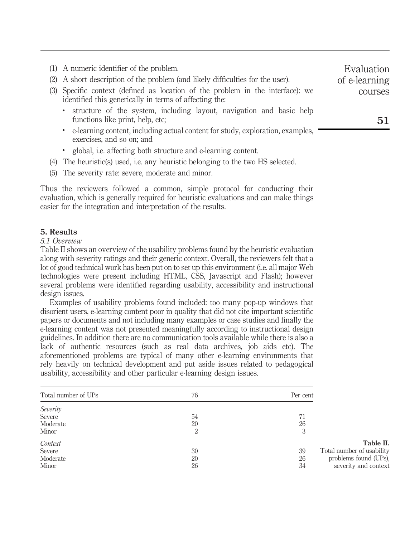| (1) A numeric identifier of the problem.                                                                                                 | Evaluation    |
|------------------------------------------------------------------------------------------------------------------------------------------|---------------|
| (2) A short description of the problem (and likely difficulties for the user).                                                           | of e-learning |
| (3) Specific context (defined as location of the problem in the interface): we<br>identified this generically in terms of affecting the. | courses       |
| structure of the system, including layout, navigation and basic help<br>functions like print, help, etc;                                 | 51            |
| e-learning content, including actual content for study, exploration, examples,<br>exercises, and so on; and                              |               |
| . alabel is offective leath structure and a learning content                                                                             |               |

- . global, i.e. affecting both structure and e-learning content.
- (4) The heuristic(s) used, i.e. any heuristic belonging to the two HS selected.
- (5) The severity rate: severe, moderate and minor.

Thus the reviewers followed a common, simple protocol for conducting their evaluation, which is generally required for heuristic evaluations and can make things easier for the integration and interpretation of the results.

# 5. Results

#### 5.1 Overview

Table II shows an overview of the usability problems found by the heuristic evaluation along with severity ratings and their generic context. Overall, the reviewers felt that a lot of good technical work has been put on to set up this environment (i.e. all major Web technologies were present including HTML, CSS, Javascript and Flash); however several problems were identified regarding usability, accessibility and instructional design issues.

Examples of usability problems found included: too many pop-up windows that disorient users, e-learning content poor in quality that did not cite important scientific papers or documents and not including many examples or case studies and finally the e-learning content was not presented meaningfully according to instructional design guidelines. In addition there are no communication tools available while there is also a lack of authentic resources (such as real data archives, job aids etc). The aforementioned problems are typical of many other e-learning environments that rely heavily on technical development and put aside issues related to pedagogical usability, accessibility and other particular e-learning design issues.

| Total number of UPs | 76 | Per cent |                           |
|---------------------|----|----------|---------------------------|
| Severity            |    |          |                           |
| Severe              | 54 | 71       |                           |
| Moderate            | 20 | 26       |                           |
| Minor               | 2  | 3        |                           |
| Context             |    |          | Table II.                 |
| Severe              | 30 | 39       | Total number of usability |
| Moderate            | 20 | 26       | problems found (UPs),     |
| Minor               | 26 | 34       | severity and context      |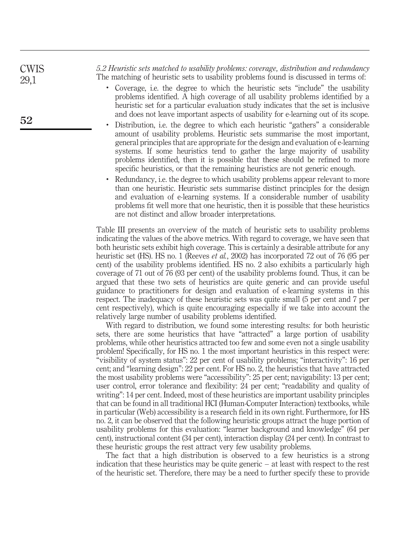5.2 Heuristic sets matched to usability problems: coverage, distribution and redundancy The matching of heuristic sets to usability problems found is discussed in terms of:

- . Coverage, i.e. the degree to which the heuristic sets "include" the usability problems identified. A high coverage of all usability problems identified by a heuristic set for a particular evaluation study indicates that the set is inclusive and does not leave important aspects of usability for e-learning out of its scope.
- . Distribution, i.e. the degree to which each heuristic "gathers" a considerable amount of usability problems. Heuristic sets summarise the most important, general principles that are appropriate for the design and evaluation of e-learning systems. If some heuristics tend to gather the large majority of usability problems identified, then it is possible that these should be refined to more specific heuristics, or that the remaining heuristics are not generic enough.
- Redundancy, i.e. the degree to which usability problems appear relevant to more than one heuristic. Heuristic sets summarise distinct principles for the design and evaluation of e-learning systems. If a considerable number of usability problems fit well more that one heuristic, then it is possible that these heuristics are not distinct and allow broader interpretations.

Table III presents an overview of the match of heuristic sets to usability problems indicating the values of the above metrics. With regard to coverage, we have seen that both heuristic sets exhibit high coverage. This is certainly a desirable attribute for any heuristic set (HS). HS no. 1 (Reeves *et al.*, 2002) has incorporated 72 out of 76 (95 per cent) of the usability problems identified. HS no. 2 also exhibits a particularly high coverage of 71 out of 76 (93 per cent) of the usability problems found. Thus, it can be argued that these two sets of heuristics are quite generic and can provide useful guidance to practitioners for design and evaluation of e-learning systems in this respect. The inadequacy of these heuristic sets was quite small (5 per cent and 7 per cent respectively), which is quite encouraging especially if we take into account the relatively large number of usability problems identified.

With regard to distribution, we found some interesting results: for both heuristic sets, there are some heuristics that have "attracted" a large portion of usability problems, while other heuristics attracted too few and some even not a single usability problem! Specifically, for HS no. 1 the most important heuristics in this respect were: "visibility of system status": 22 per cent of usability problems; "interactivity": 16 per cent; and "learning design": 22 per cent. For HS no. 2, the heuristics that have attracted the most usability problems were "accessibility": 25 per cent; navigability: 13 per cent; user control, error tolerance and flexibility: 24 per cent; "readability and quality of writing": 14 per cent. Indeed, most of these heuristics are important usability principles that can be found in all traditional HCI (Human-Computer Interaction) textbooks, while in particular (Web) accessibility is a research field in its own right. Furthermore, for HS no. 2, it can be observed that the following heuristic groups attract the huge portion of usability problems for this evaluation: "learner background and knowledge" (64 per cent), instructional content (34 per cent), interaction display (24 per cent). In contrast to these heuristic groups the rest attract very few usability problems.

The fact that a high distribution is observed to a few heuristics is a strong indication that these heuristics may be quite generic – at least with respect to the rest of the heuristic set. Therefore, there may be a need to further specify these to provide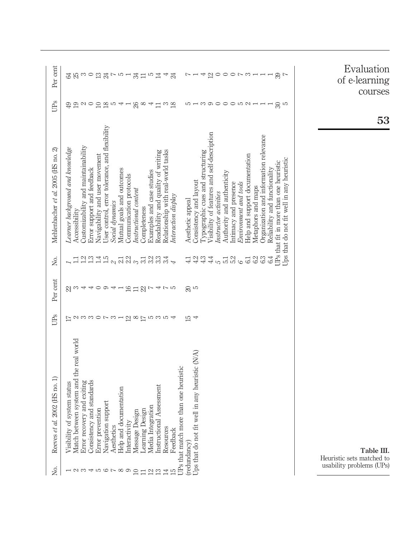| Σò.             | Reeves et al. 2002 (HS no. 1)                   | <b>CHS</b>      | Per cent          | Σ.              | Mehlenbacher et al. 2005 (HS no. 2)            | UPs            | Per cent        |
|-----------------|-------------------------------------------------|-----------------|-------------------|-----------------|------------------------------------------------|----------------|-----------------|
|                 | Visibility of system status                     | 5               |                   |                 | Learner background and knowledge               |                |                 |
| $\sim$          | Match between system and the real world         |                 | S                 |                 | Accessibility                                  | $\overline{9}$ |                 |
|                 | Firor recovery and exiting                      | $\approx$       | ↤                 | $\frac{21}{13}$ | Customizability and maintainability            | $\circ$        |                 |
| 45              | Consistency and standards                       | က               | 4                 |                 | Error support and feedback                     |                |                 |
|                 | Error prevention                                |                 | $\circ$           |                 | Navigability and user movement                 | $\supseteq$    |                 |
| $\frac{1}{2}$   | Navigation support                              |                 | $\circ$           | $115$ $130$     | User control, error tolerance, and flexibility | $\frac{8}{5}$  | 30日2775日        |
|                 | Aesthetics                                      | က               |                   |                 | Social dynamics                                |                |                 |
| $\infty$        | Help and documentation                          |                 |                   |                 | Mutual goals and outcomes                      | ↴              |                 |
|                 | Interactivity                                   | ≌               | $\widetilde{\Xi}$ |                 | Communication protocols                        |                |                 |
| $\overline{10}$ | Message Design                                  | $\infty$        |                   |                 | nstructional content                           | $\frac{8}{8}$  | $\frac{31}{11}$ |
| $\Box$          | <b>Learning</b> Design                          | $\overline{17}$ | $27 -$            | 31              | <b>Completeness</b>                            |                |                 |
| $\overline{2}$  | Media Integration                               | S               |                   | 3.2             | Examples and case studies                      | 4              | S               |
| 13              | Instructional Assessment                        |                 |                   | 33              | Readability and quality of writing             | $\Box$         | 그               |
| 14              | Resources                                       |                 | コヤ                |                 | Relationship with real-world tasks             | S              |                 |
| $\overline{15}$ | Feedback                                        |                 |                   | $\overline{r}$  | Interaction display                            | $\infty$       | $\mathbb{Z}$    |
|                 | UPs that match more than one heuristic          |                 |                   |                 |                                                |                |                 |
|                 | (redundancy)                                    | $\overline{15}$ | 20<br>5           |                 | Aesthetic appeal                               |                |                 |
|                 | Ups that do not fit well in any heuristic (N/A) | 4               |                   |                 | Consistency and layout                         |                |                 |
|                 |                                                 |                 |                   | 43              | Typographic cues and structuring               | ⊦ က တ          |                 |
|                 |                                                 |                 |                   | 4.4             | Visibility of features and self-description    |                | 2000000         |
|                 |                                                 |                 |                   | 5               | Instructor activities                          |                |                 |
|                 |                                                 |                 |                   | 51              | Authority and authenticity                     |                |                 |
|                 |                                                 |                 |                   | 5.2             | intimacy and presence                          |                |                 |
|                 |                                                 |                 |                   | $\circ$         | Environment and tools                          |                |                 |
|                 |                                                 |                 |                   | $\overline{61}$ | Help and support documentation                 | O <sub>1</sub> |                 |
|                 |                                                 |                 |                   | 62              | Metaphors and maps                             |                |                 |
|                 |                                                 |                 |                   |                 | Organization and information relevance         |                |                 |
|                 |                                                 |                 |                   |                 | Reliability and functionality                  |                |                 |
|                 |                                                 |                 |                   |                 | UPs that fit in more than one heuristic        | ສ              | $\frac{1}{6}$   |
|                 |                                                 |                 |                   |                 | Ups that do not fit well in any heuristic      |                |                 |

Evaluation of e-learning courses

53

Table III. Heuristic sets matched to usability problems (UPs)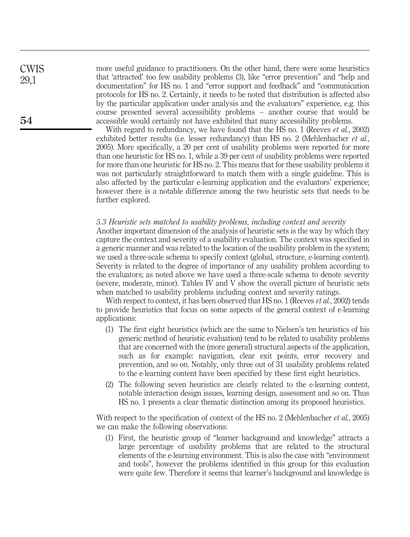more useful guidance to practitioners. On the other hand, there were some heuristics that 'attracted' too few usability problems (3), like "error prevention" and "help and documentation" for HS no. 1 and "error support and feedback" and "communication protocols for HS no. 2. Certainly, it needs to be noted that distribution is affected also by the particular application under analysis and the evaluators" experience, e.g. this course presented several accessibility problems – another course that would be accessible would certainly not have exhibited that many accessibility problems.

With regard to redundancy, we have found that the HS no. 1 (Reeves et al., 2002) exhibited better results (i.e. lesser redundancy) than HS no. 2 (Mehlenbacher *et al.*, 2005). More specifically, a 20 per cent of usability problems were reported for more than one heuristic for HS no. 1, while a 39 per cent of usability problems were reported for more than one heuristic for HS no. 2. This means that for these usability problems it was not particularly straightforward to match them with a single guideline. This is also affected by the particular e-learning application and the evaluators' experience; however there is a notable difference among the two heuristic sets that needs to be further explored.

#### 5.3 Heuristic sets matched to usability problems, including context and severity

Another important dimension of the analysis of heuristic sets is the way by which they capture the context and severity of a usability evaluation. The context was specified in a generic manner and was related to the location of the usability problem in the system; we used a three-scale schema to specify context (global, structure, e-learning content). Severity is related to the degree of importance of any usability problem according to the evaluators; as noted above we have used a three-scale schema to denote severity (severe, moderate, minor). Tables IV and V show the overall picture of heuristic sets when matched to usability problems including context and severity ratings.

With respect to context, it has been observed that HS no. 1 (Reeves *et al.*, 2002) tends to provide heuristics that focus on some aspects of the general context of e-learning applications:

- (1) The first eight heuristics (which are the same to Nielsen's ten heuristics of his generic method of heuristic evaluation) tend to be related to usability problems that are concerned with the (more general) structural aspects of the application, such as for example: navigation, clear exit points, error recovery and prevention, and so on. Notably, only three out of 31 usability problems related to the e-learning content have been specified by these first eight heuristics.
- (2) The following seven heuristics are clearly related to the e-learning content, notable interaction design issues, learning design, assessment and so on. Thus HS no. 1 presents a clear thematic distinction among its proposed heuristics.

With respect to the specification of context of the HS no. 2 (Mehlenbacher *et al.*, 2005) we can make the following observations:

(1) First, the heuristic group of "learner background and knowledge" attracts a large percentage of usability problems that are related to the structural elements of the e-learning environment. This is also the case with "environment and tools", however the problems identified in this group for this evaluation were quite few. Therefore it seems that learner's background and knowledge is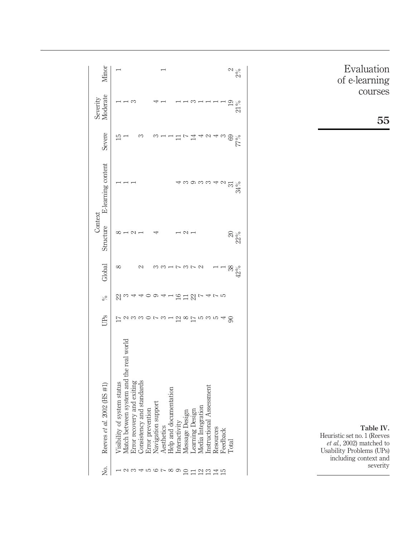|                      |                                         |     |                 |          | Context         |                    |        | Severity |                |
|----------------------|-----------------------------------------|-----|-----------------|----------|-----------------|--------------------|--------|----------|----------------|
| Ż.                   | Reeves et al. 2002 (HS #1)              | UPs | $\frac{6}{6}$   | Global   | Structure       | E-learning content | Severe | Moderate | Minor          |
|                      | /isibility of system status             |     |                 | $\infty$ |                 |                    |        |          |                |
| ¢                    | Match between system and the real world |     |                 |          |                 |                    |        |          |                |
|                      | Error recovery and exiting              |     |                 |          |                 |                    |        |          |                |
|                      | Consistency and standards               |     |                 |          |                 |                    |        |          |                |
|                      | Error prevention                        |     |                 |          |                 |                    |        |          |                |
|                      | Navigation support                      |     |                 |          |                 |                    |        |          |                |
| t                    | Aesthetics                              |     |                 |          |                 |                    |        |          |                |
| $\infty$             | Help and documentation                  |     |                 |          |                 |                    |        |          |                |
|                      | Interactivity                           | ⊆   | $\overline{16}$ |          |                 |                    |        |          |                |
|                      | Message Design                          |     | Ī<br>$\vec{a}$  |          | ¢<br>J          |                    |        |          |                |
| $\Box$               | Learning Design                         | ŗ   | 22              |          |                 |                    |        |          |                |
| $^{12}$ $\rm{^{13}}$ | Media Integration                       |     |                 |          |                 | S                  |        |          |                |
|                      | Instructional Assessment                |     |                 |          |                 | S                  |        |          |                |
| 14                   | Resources                               | LO  |                 |          |                 |                    |        |          |                |
| 15                   | Feedback                                |     |                 |          |                 | J                  |        |          |                |
|                      | Total                                   | ඝ   |                 | 38       | $\overline{20}$ | 5                  | 69     | $^{19}$  | $\mathfrak{a}$ |
|                      |                                         |     |                 | 42%      | 22%             | 34%                | 77%    | $21\%$   | $2\%$          |
|                      |                                         |     |                 |          |                 |                    |        |          |                |

Evaluation of e-learning courses

55

Table IV. Heuristic set no. 1 (Reeves et al., 2002) matched to Usability Problems (UPs) including context and severity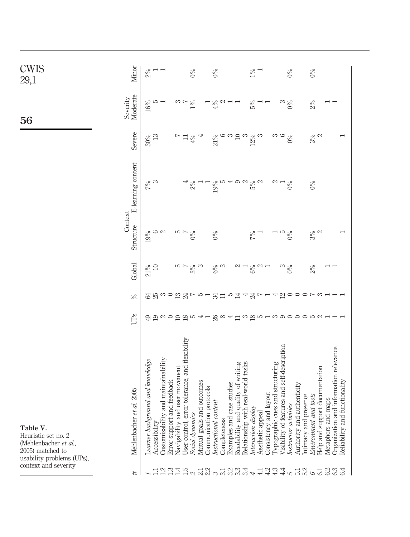| <b>CWIS</b><br>29,1                                                          | Minor                       | $2\%$                                | $-1$              |                                        |                                                                               |                                                    | $0\%$           |                                |                            | $0\%$                                           |              |                           |                                       |                                        | $1\%$                   |                                            |                                  |                                             | $0\%$                 |                            |                       | $0\%$                      |                                |                       |                                             |                                  |
|------------------------------------------------------------------------------|-----------------------------|--------------------------------------|-------------------|----------------------------------------|-------------------------------------------------------------------------------|----------------------------------------------------|-----------------|--------------------------------|----------------------------|-------------------------------------------------|--------------|---------------------------|---------------------------------------|----------------------------------------|-------------------------|--------------------------------------------|----------------------------------|---------------------------------------------|-----------------------|----------------------------|-----------------------|----------------------------|--------------------------------|-----------------------|---------------------------------------------|----------------------------------|
| 56                                                                           | Moderate<br>Severity        |                                      | $16\frac{6}{5}$ 5 |                                        |                                                                               | $\sim$ $\sim$                                      | $1\%$           |                                |                            | $\begin{array}{c} \frac{5}{4} \\ 4 \end{array}$ |              |                           |                                       |                                        | $5\%$                   |                                            |                                  | က                                           | $0\%$                 |                            |                       | $2\%$                      |                                |                       |                                             |                                  |
|                                                                              | Severe                      | $30\,\%$                             | $\mathbf{L}^3$    |                                        |                                                                               |                                                    | $14\%$          | A                              |                            | $21\,\%$                                        | $\circ$      | က                         | $\Box$                                | က                                      | $12\%$ 3                |                                            | က (၀                             |                                             | $0\%$                 |                            |                       | $3\, \%$ $^2$              |                                |                       |                                             | $\overline{\phantom{0}}$         |
|                                                                              | E-learning content          |                                      | $7\%$ $^{\circ}$  |                                        |                                                                               |                                                    | $2\%$           |                                |                            | $19\%$                                          | S            | 4                         | $\circ$ $\circ$                       |                                        | $5\%$                   | Z                                          | $\sim$ $\sim$                    |                                             | $0\%$                 |                            |                       | $0\%$                      |                                |                       |                                             |                                  |
|                                                                              | Context<br>Structure        | $19\%$                               | $\circ$ $\circ$   |                                        |                                                                               | ∽ س                                                | $0\%$           |                                |                            | $0\%$                                           |              |                           |                                       |                                        | $7\%$                   |                                            | $-5$                             |                                             | $0\%$                 |                            |                       | $3\%$                      | 2                              |                       |                                             | $\overline{\phantom{0}}$         |
|                                                                              | Global                      | $^{21\%}_{10}$                       |                   |                                        |                                                                               | $\frac{5}{2}$                                      | $3\%$ ന         |                                |                            | $6\%$ 3                                         |              |                           | $\sim$ $-$                            |                                        |                         | $6\degree$ $\degree$ $\degree$             |                                  | S                                           | 0%                    |                            |                       | $2\%$                      |                                |                       |                                             |                                  |
|                                                                              | $\%$                        |                                      |                   |                                        | 683023761                                                                     |                                                    |                 |                                |                            | 2010 11 22 22 24 25 26 26 27 28 29 20 20 21     |              |                           |                                       |                                        |                         |                                            |                                  |                                             |                       |                            |                       |                            | S                              |                       |                                             |                                  |
|                                                                              | UPs                         |                                      |                   |                                        | $\mathfrak{A}\supseteq\mathfrak{A}\supseteq\mathfrak{A}\supseteq\mathfrak{A}$ |                                                    |                 |                                |                            | $\frac{8}{2}$ $\infty$ 4                        |              |                           | Huguhuwooopur                         |                                        |                         |                                            |                                  |                                             |                       |                            |                       |                            |                                |                       |                                             |                                  |
| Table V.<br>Heuristic set no. 2<br>(Mehlenbacher et al.,<br>2005) matched to | et al. 2005<br>Mehlenbacher | ound and knowledge<br>Learner backgr | Accessibility     | and maintainability<br>Customizability | d user movement<br>Error support and feedback<br>Navigability an              | ror tolerance, and flexibility<br>User control, er | Social dynamics | nd outcomes<br>Mutual goals ar | protocols<br>Communication | Instructional content                           | Completeness | Examples and case studies | quality of writing<br>Readability and | th real-world tasks<br>Relationship wi | lay<br>Interaction disp | Aesthetic appeal<br>Consistency and layout | Typographic cues and structuring | Visibility of features and self-description | Instructor activities | Authority and authenticity | Intimacy and presence | ad tools<br>Environment ar | Help and support documentation | maps<br>Metaphors and | id information relevance<br>Organization ar | functionality<br>Reliability and |
| usability problems (UPs),<br>context and severity                            | #                           |                                      |                   |                                        | ロロコユに                                                                         |                                                    |                 | $\frac{21}{23}$                |                            |                                                 |              |                           | 53334                                 |                                        |                         |                                            |                                  |                                             |                       |                            |                       |                            | 12331 12365865                 |                       |                                             |                                  |

 $+ | - \frac{1}{2} \frac{1}{3} \frac{1}{3} \frac{1}{3} \frac{1}{3} \frac{1}{3} \frac{1}{3} \frac{1}{3} \frac{1}{3} \frac{1}{3} \frac{1}{3} \frac{1}{3} \frac{1}{3} \frac{1}{3} \frac{1}{4} \frac{1}{4} \frac{1}{3} \frac{1}{3} \frac{1}{3} \frac{1}{3} \frac{1}{3} \frac{1}{3} \frac{1}{3} \frac{1}{3} \frac{1}{3} \frac{1}{3} \frac{1}{3} \frac{1}{3} \frac{1}{3} \frac{1}{3} \frac{1}{3}$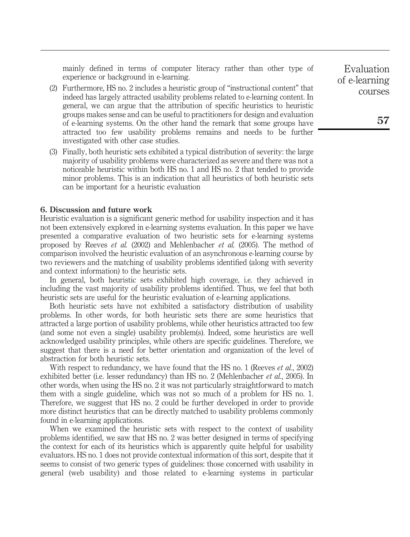mainly defined in terms of computer literacy rather than other type of experience or background in e-learning.

- (2) Furthermore, HS no. 2 includes a heuristic group of "instructional content" that indeed has largely attracted usability problems related to e-learning content. In general, we can argue that the attribution of specific heuristics to heuristic groups makes sense and can be useful to practitioners for design and evaluation of e-learning systems. On the other hand the remark that some groups have attracted too few usability problems remains and needs to be further investigated with other case studies.
- (3) Finally, both heuristic sets exhibited a typical distribution of severity: the large majority of usability problems were characterized as severe and there was not a noticeable heuristic within both HS no. 1 and HS no. 2 that tended to provide minor problems. This is an indication that all heuristics of both heuristic sets can be important for a heuristic evaluation

#### 6. Discussion and future work

Heuristic evaluation is a significant generic method for usability inspection and it has not been extensively explored in e-learning systems evaluation. In this paper we have presented a comparative evaluation of two heuristic sets for e-learning systems proposed by Reeves et al. (2002) and Mehlenbacher et al. (2005). The method of comparison involved the heuristic evaluation of an asynchronous e-learning course by two reviewers and the matching of usability problems identified (along with severity and context information) to the heuristic sets.

In general, both heuristic sets exhibited high coverage, i.e. they achieved in including the vast majority of usability problems identified. Thus, we feel that both heuristic sets are useful for the heuristic evaluation of e-learning applications.

Both heuristic sets have not exhibited a satisfactory distribution of usability problems. In other words, for both heuristic sets there are some heuristics that attracted a large portion of usability problems, while other heuristics attracted too few (and some not even a single) usability problem(s). Indeed, some heuristics are well acknowledged usability principles, while others are specific guidelines. Therefore, we suggest that there is a need for better orientation and organization of the level of abstraction for both heuristic sets.

With respect to redundancy, we have found that the HS no. 1 (Reeves *et al.*, 2002) exhibited better (i.e. lesser redundancy) than HS no. 2 (Mehlenbacher et al., 2005). In other words, when using the HS no. 2 it was not particularly straightforward to match them with a single guideline, which was not so much of a problem for HS no. 1. Therefore, we suggest that HS no. 2 could be further developed in order to provide more distinct heuristics that can be directly matched to usability problems commonly found in e-learning applications.

When we examined the heuristic sets with respect to the context of usability problems identified, we saw that HS no. 2 was better designed in terms of specifying the context for each of its heuristics which is apparently quite helpful for usability evaluators. HS no. 1 does not provide contextual information of this sort, despite that it seems to consist of two generic types of guidelines: those concerned with usability in general (web usability) and those related to e-learning systems in particular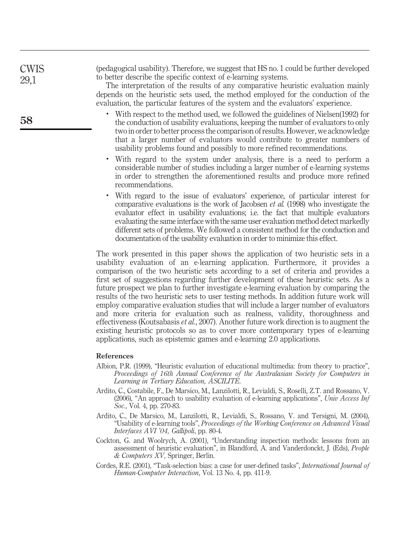(pedagogical usability). Therefore, we suggest that HS no. 1 could be further developed to better describe the specific context of e-learning systems.

The interpretation of the results of any comparative heuristic evaluation mainly depends on the heuristic sets used, the method employed for the conduction of the evaluation, the particular features of the system and the evaluators' experience.

- . With respect to the method used, we followed the guidelines of Nielsen(1992) for the conduction of usability evaluations, keeping the number of evaluators to only two in order to better process the comparison of results. However, we acknowledge that a larger number of evaluators would contribute to greater numbers of usability problems found and possibly to more refined recommendations.
- . With regard to the system under analysis, there is a need to perform a considerable number of studies including a larger number of e-learning systems in order to strengthen the aforementioned results and produce more refined recommendations.
- . With regard to the issue of evaluators' experience, of particular interest for comparative evaluations is the work of Jacobsen *et al.* (1998) who investigate the evaluator effect in usability evaluations; i.e. the fact that multiple evaluators evaluating the same interface with the same user evaluation method detect markedly different sets of problems. We followed a consistent method for the conduction and documentation of the usability evaluation in order to minimize this effect.

The work presented in this paper shows the application of two heuristic sets in a usability evaluation of an e-learning application. Furthermore, it provides a comparison of the two heuristic sets according to a set of criteria and provides a first set of suggestions regarding further development of these heuristic sets. As a future prospect we plan to further investigate e-learning evaluation by comparing the results of the two heuristic sets to user testing methods. In addition future work will employ comparative evaluation studies that will include a larger number of evaluators and more criteria for evaluation such as realness, validity, thoroughness and effectiveness (Koutsabasis et al., 2007). Another future work direction is to augment the existing heuristic protocols so as to cover more contemporary types of e-learning applications, such as epistemic games and e-learning 2.0 applications.

#### References

- Albion, P.R. (1999), "Heuristic evaluation of educational multimedia: from theory to practice", Proceedings of 16th Annual Conference of the Australasian Society for Computers in Learning in Tertiary Education, ASCILITE.
- Ardito, C., Costabile, F., De Marsico, M., Lanzilotti, R., Levialdi, S., Roselli, Z.T. and Rossano, V. (2006), "An approach to usability evaluation of e-learning applications", Univ Access Inf Soc., Vol. 4, pp. 270-83.
- Ardito, C., De Marsico, M., Lanzilotti, R., Levialdi, S., Rossano, V. and Tersigni, M. (2004), "Usability of e-learning tools", Proceedings of the Working Conference on Advanced Visual Interfaces AVI '04, Gallipoli, pp. 80-4.
- Cockton, G. and Woolrych, A. (2001), "Understanding inspection methods: lessons from an assessment of heuristic evaluation", in Blandford, A. and Vanderdonckt, J. (Eds), People & Computers XV, Springer, Berlin.
- Cordes, R.E. (2001), "Task-selection bias: a case for user-defined tasks", International Journal of Human-Computer Interaction, Vol. 13 No. 4, pp. 411-9.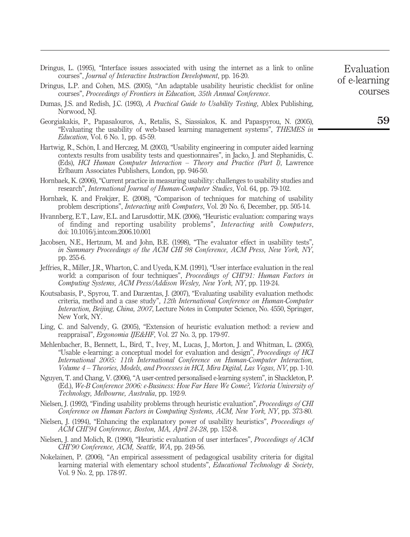- Dringus, L. (1995), "Interface issues associated with using the internet as a link to online courses", Journal of Interactive Instruction Development, pp. 16-20.
- Dringus, L.P. and Cohen, M.S. (2005), "An adaptable usability heuristic checklist for online courses", Proceedings of Frontiers in Education, 35th Annual Conference.
- Dumas, J.S. and Redish, J.C. (1993), A Practical Guide to Usability Testing, Ablex Publishing, Norwood, NJ.
- Georgiakakis, P., Papasalouros, A., Retalis, S., Siassiakos, K. and Papaspyrou, N. (2005), "Evaluating the usability of web-based learning management systems", THEMES in Education, Vol. 6 No. 1, pp. 45-59.
- Hartwig, R., Schön, I. and Herczeg, M. (2003), "Usability engineering in computer aided learning contexts results from usability tests and questionnaires", in Jacko, J. and Stephanidis, C. (Eds), HCI Human Computer Interaction – Theory and Practice (Part I), Lawrence Erlbaum Associates Publishers, London, pp. 946-50.
- Hornbaek, K. (2006), "Current practice in measuring usability: challenges to usability studies and research", International Journal of Human-Computer Studies, Vol. 64, pp. 79-102.
- Hornbæk, K. and Frøkjær, E. (2008), "Comparison of techniques for matching of usability problem descriptions", Interacting with Computers, Vol. 20 No. 6, December, pp. 505-14.
- Hvannberg, E.T., Law, E.L. and Larusdottir, M.K. (2006), "Heuristic evaluation: comparing ways of finding and reporting usability problems", Interacting with Computers, doi: 10.1016/j.intcom.2006.10.001
- Jacobsen, N.E., Hertzum, M. and John, B.E. (1998), "The evaluator effect in usability tests", in Summary Proceedings of the ACM CHI 98 Conference, ACM Press, New York, NY, pp. 255-6.
- Jeffries, R., Miller, J.R., Wharton, C. and Uyeda, K.M. (1991), "User interface evaluation in the real world: a comparison of four techniques", Proceedings of CHI'91: Human Factors in Computing Systems, ACM Press/Addison Wesley, New York, NY, pp. 119-24.
- Koutsabasis, P., Spyrou, T. and Darzentas, J. (2007), "Evaluating usability evaluation methods: criteria, method and a case study", 12th International Conference on Human-Computer Interaction, Beijing, China, 2007, Lecture Notes in Computer Science, No. 4550, Springer, New York, NY.
- Ling, C. and Salvendy, G. (2005), "Extension of heuristic evaluation method: a review and reappraisal", Ergonomia IJE&HF, Vol. 27 No. 3, pp. 179-97.
- Mehlenbacher, B., Bennett, L., Bird, T., Ivey, M., Lucas, J., Morton, J. and Whitman, L. (2005), "Usable e-learning: a conceptual model for evaluation and design", Proceedings of HCI International 2005: 11th International Conference on Human-Computer Interaction, Volume 4 – Theories, Models, and Processes in HCI, Mira Digital, Las Vegas, NV, pp. 1-10.
- Nguyen, T. and Chang, V. (2006), "A user-centred personalised e-learning system", in Shackleton, P. (Ed.), We-B Conference 2006: e-Business: How Far Have We Come?, Victoria University of Technology, Melbourne, Australia, pp. 192-9.
- Nielsen, J. (1992), "Finding usability problems through heuristic evaluation", Proceedings of CHI Conference on Human Factors in Computing Systems, ACM, New York, NY, pp. 373-80.
- Nielsen, J. (1994), "Enhancing the explanatory power of usability heuristics", *Proceedings of* ACM CHI'94 Conference, Boston, MA, April 24-28, pp. 152-8.
- Nielsen, J. and Molich, R. (1990), "Heuristic evaluation of user interfaces", Proceedings of ACM CHI'90 Conference, ACM, Seattle, WA, pp. 249-56.
- Nokelainen, P. (2006), "An empirical assessment of pedagogical usability criteria for digital learning material with elementary school students", *Educational Technology & Society*, Vol. 9 No. 2, pp. 178-97.